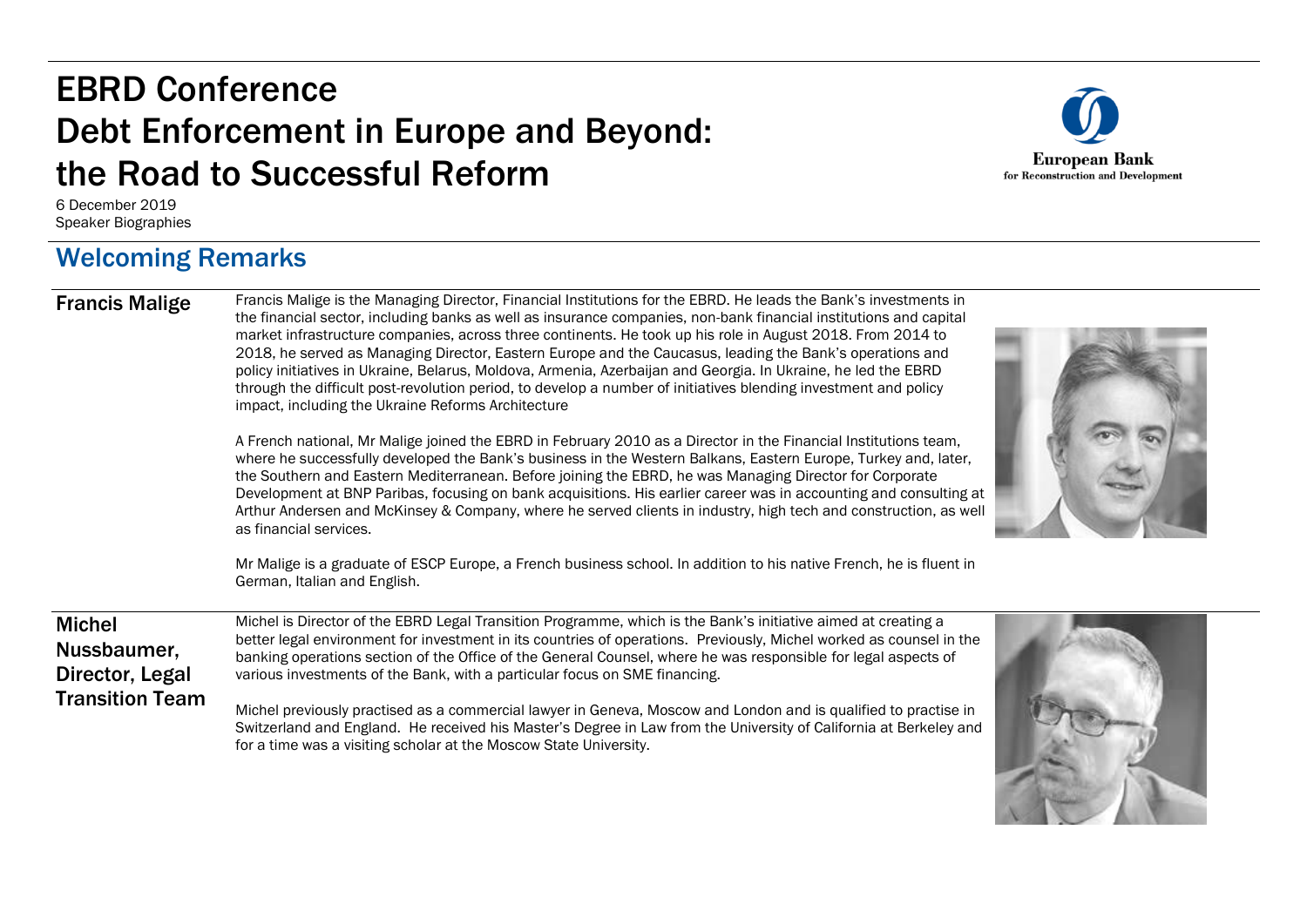# EBRD Conference Debt Enforcement in Europe and Beyond: the Road to Successful Reform

**European Bank** for Reconstruction and Development

6 December 2019 Speaker Biographies

#### Welcoming Remarks

Francis Malige Francis Malige is the Managing Director, Financial Institutions for the EBRD. He leads the Bank's investments in the financial sector, including banks as well as insurance companies, non-bank financial institutions and capital market infrastructure companies, across three continents. He took up his role in August 2018. From 2014 to 2018, he served as Managing Director, Eastern Europe and the Caucasus, leading the Bank's operations and policy initiatives in Ukraine, Belarus, Moldova, Armenia, Azerbaijan and Georgia. In Ukraine, he led the EBRD through the difficult post-revolution period, to develop a number of initiatives blending investment and policy impact, including the Ukraine Reforms Architecture

> A French national, Mr Malige joined the EBRD in February 2010 as a Director in the Financial Institutions team, where he successfully developed the Bank's business in the Western Balkans, Eastern Europe, Turkey and, later, the Southern and Eastern Mediterranean. Before joining the EBRD, he was Managing Director for Corporate Development at BNP Paribas, focusing on bank acquisitions. His earlier career was in accounting and consulting at Arthur Andersen and McKinsey & Company, where he served clients in industry, high tech and construction, as well as financial services.

> Mr Malige is a graduate of ESCP Europe, a French business school. In addition to his native French, he is fluent in German, Italian and English.

Michel Nussbaumer, Director, Legal Transition Team

Michel is Director of the EBRD Legal Transition Programme, which is the Bank's initiative aimed at creating a better legal environment for investment in its countries of operations. Previously, Michel worked as counsel in the banking operations section of the Office of the General Counsel, where he was responsible for legal aspects of various investments of the Bank, with a particular focus on SME financing.

Michel previously practised as a commercial lawyer in Geneva, Moscow and London and is qualified to practise in Switzerland and England. He received his Master's Degree in Law from the University of California at Berkeley and for a time was a visiting scholar at the Moscow State University.



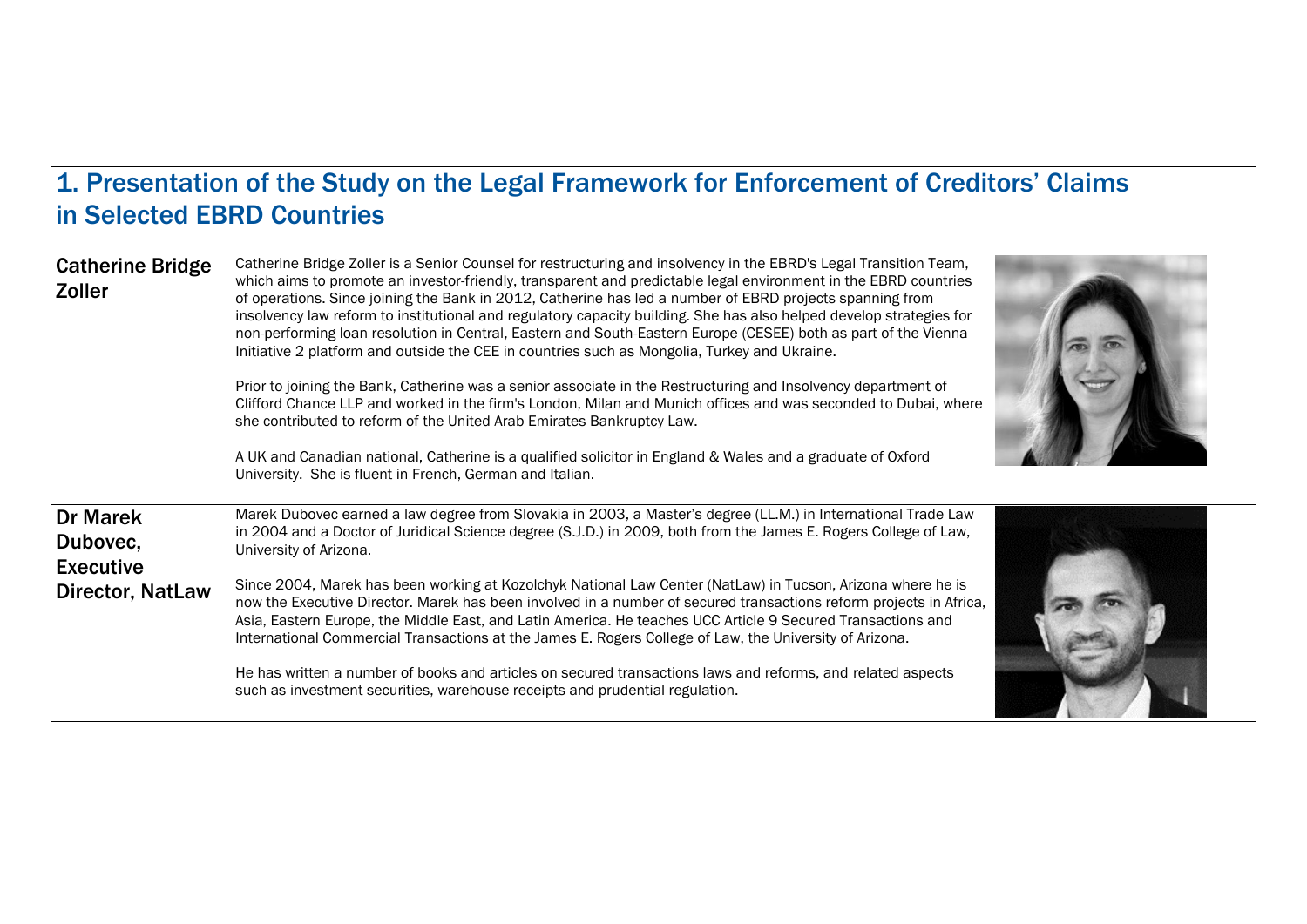### 1. Presentation of the Study on the Legal Framework for Enforcement of Creditors' Claims in Selected EBRD Countries

| <b>Catherine Bridge</b><br><b>Zoller</b>        | Catherine Bridge Zoller is a Senior Counsel for restructuring and insolvency in the EBRD's Legal Transition Team,<br>which aims to promote an investor-friendly, transparent and predictable legal environment in the EBRD countries<br>of operations. Since joining the Bank in 2012, Catherine has led a number of EBRD projects spanning from<br>insolvency law reform to institutional and regulatory capacity building. She has also helped develop strategies for<br>non-performing loan resolution in Central, Eastern and South-Eastern Europe (CESEE) both as part of the Vienna<br>Initiative 2 platform and outside the CEE in countries such as Mongolia, Turkey and Ukraine.<br>Prior to joining the Bank, Catherine was a senior associate in the Restructuring and Insolvency department of<br>Clifford Chance LLP and worked in the firm's London, Milan and Munich offices and was seconded to Dubai, where<br>she contributed to reform of the United Arab Emirates Bankruptcy Law. |  |
|-------------------------------------------------|-------------------------------------------------------------------------------------------------------------------------------------------------------------------------------------------------------------------------------------------------------------------------------------------------------------------------------------------------------------------------------------------------------------------------------------------------------------------------------------------------------------------------------------------------------------------------------------------------------------------------------------------------------------------------------------------------------------------------------------------------------------------------------------------------------------------------------------------------------------------------------------------------------------------------------------------------------------------------------------------------------|--|
|                                                 | A UK and Canadian national, Catherine is a qualified solicitor in England & Wales and a graduate of Oxford<br>University. She is fluent in French, German and Italian.                                                                                                                                                                                                                                                                                                                                                                                                                                                                                                                                                                                                                                                                                                                                                                                                                                |  |
| <b>Dr Marek</b><br>Dubovec,<br><b>Executive</b> | Marek Dubovec earned a law degree from Slovakia in 2003, a Master's degree (LL.M.) in International Trade Law<br>in 2004 and a Doctor of Juridical Science degree (S.J.D.) in 2009, both from the James E. Rogers College of Law,<br>University of Arizona.                                                                                                                                                                                                                                                                                                                                                                                                                                                                                                                                                                                                                                                                                                                                           |  |
| <b>Director, NatLaw</b>                         | Since 2004, Marek has been working at Kozolchyk National Law Center (NatLaw) in Tucson, Arizona where he is<br>now the Executive Director. Marek has been involved in a number of secured transactions reform projects in Africa,<br>Asia, Eastern Europe, the Middle East, and Latin America. He teaches UCC Article 9 Secured Transactions and<br>International Commercial Transactions at the James E. Rogers College of Law, the University of Arizona.                                                                                                                                                                                                                                                                                                                                                                                                                                                                                                                                           |  |
|                                                 | He has written a number of books and articles on secured transactions laws and reforms, and related aspects<br>such as investment securities, warehouse receipts and prudential regulation.                                                                                                                                                                                                                                                                                                                                                                                                                                                                                                                                                                                                                                                                                                                                                                                                           |  |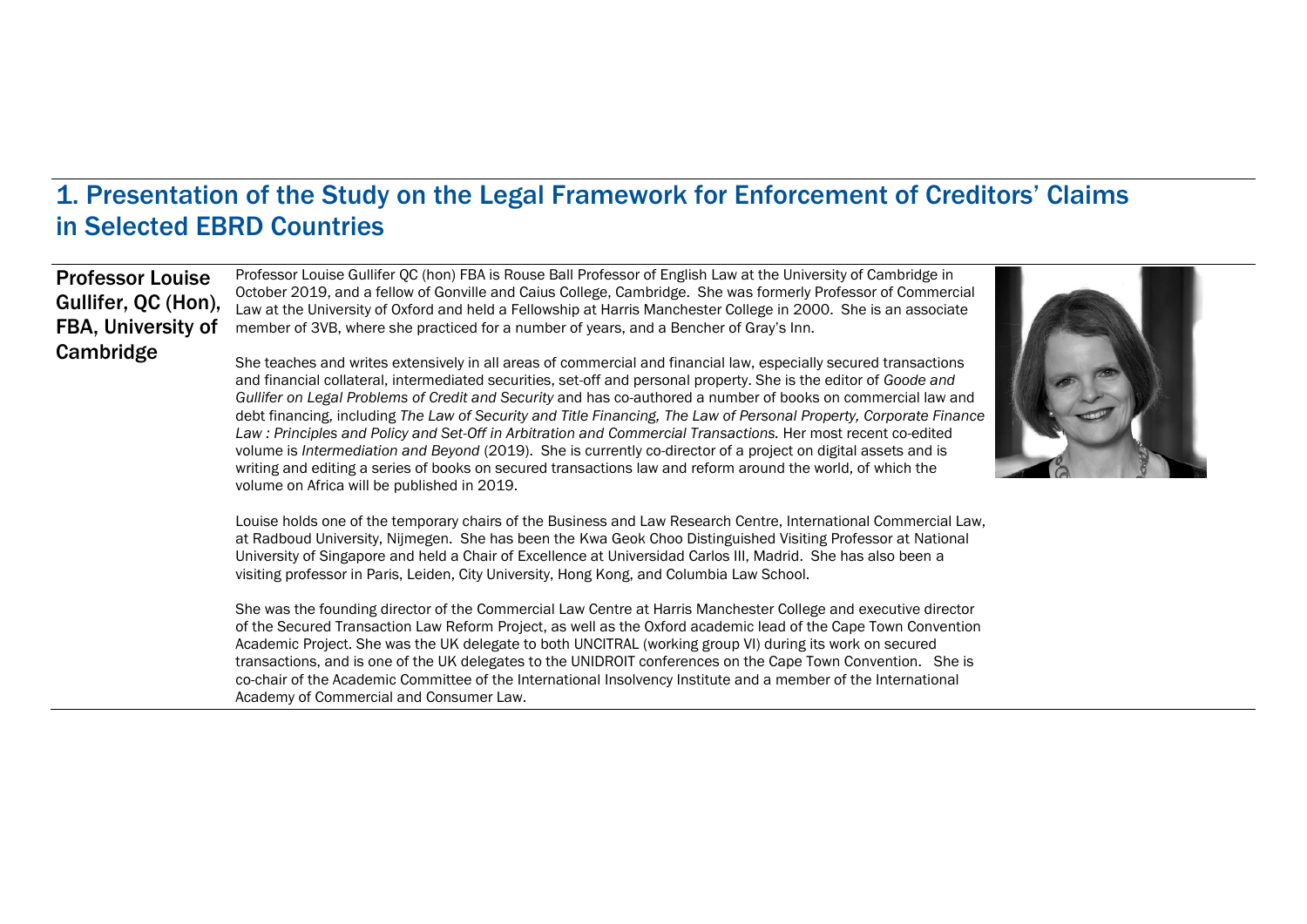#### 1. Presentation of the Study on the Legal Framework for Enforcement of Creditors' Claims in Selected EBRD Countries

#### Professor Louise Gullifer, QC (Hon), FBA, University of Cambridge

Professor Louise Gullifer QC (hon) FBA is Rouse Ball Professor of English Law at the University of Cambridge in October 2019, and a fellow of Gonville and Caius College, Cambridge. She was formerly Professor of Commercial Law at the University of Oxford and held a Fellowship at Harris Manchester College in 2000. She is an associate member of 3VB, where she practiced for a number of years, and a Bencher of Gray's Inn.

She teaches and writes extensively in all areas of commercial and financial law, especially secured transactions and financial collateral, intermediated securities, set-off and personal property. She is the editor of *Goode and Gullifer on Legal Problems of Credit and Security* and has co-authored a number of books on commercial law and debt financing, including *The Law of Security and Title Financing, The Law of Personal Property, Corporate Finance*  Law : Principles and Policy and Set-Off in Arbitration and Commercial Transactions. Her most recent co-edited volume is *Intermediation and Beyond* (2019). She is currently co-director of a project on digital assets and is writing and editing a series of books on secured transactions law and reform around the world, of which the volume on Africa will be published in 2019.



Louise holds one of the temporary chairs of the Business and Law Research Centre, International Commercial Law, at Radboud University, Nijmegen. She has been the Kwa Geok Choo Distinguished Visiting Professor at National University of Singapore and held a Chair of Excellence at Universidad Carlos III, Madrid. She has also been a visiting professor in Paris, Leiden, City University, Hong Kong, and Columbia Law School.

She was the founding director of the [Commercial Law Centre](https://www.law.ox.ac.uk/research-subject-groups/commercial-law-centre) at Harris Manchester College and executive director of the [Secured Transaction Law Reform Project,](https://www.law.ox.ac.uk/research-subject-groups/secured-transaction-law-reform) as well as the Oxford academic lead of the Cape Town Convention Academic Project. She was the UK delegate to both UNCITRAL (working group VI) during its work on secured transactions, and is one of the UK delegates to the UNIDROIT conferences on the Cape Town Convention.She is co-chair of the Academic Committee of the International Insolvency Institute and a member of the International Academy of Commercial and Consumer Law.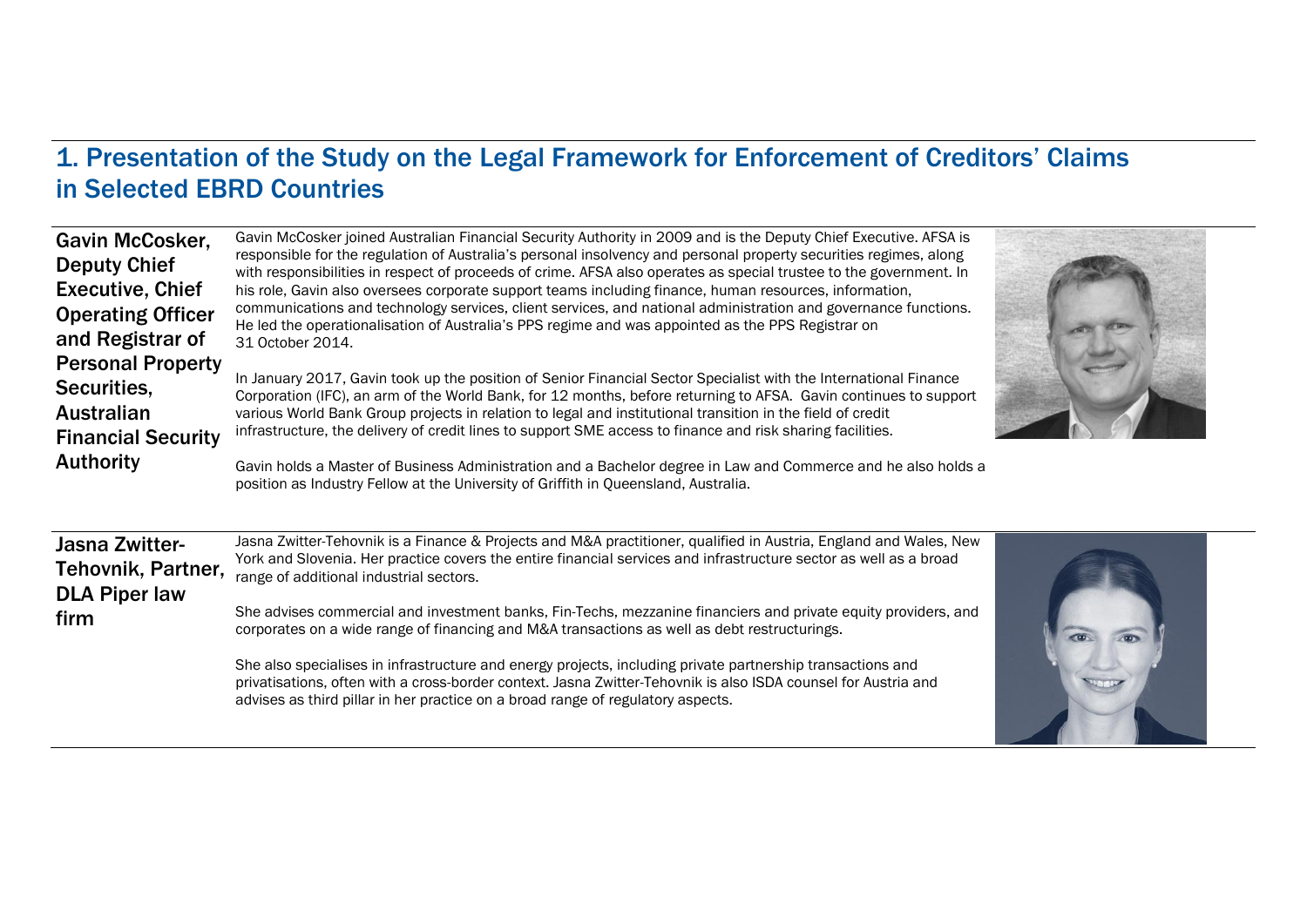#### 1. Presentation of the Study on the Legal Framework for Enforcement of Creditors' Claims in Selected EBRD Countries

| <b>Gavin McCosker,</b><br><b>Deputy Chief</b><br><b>Executive, Chief</b><br><b>Operating Officer</b><br>and Registrar of<br><b>Personal Property</b><br>Securities,<br><b>Australian</b><br><b>Financial Security</b><br><b>Authority</b> | Gavin McCosker joined Australian Financial Security Authority in 2009 and is the Deputy Chief Executive. AFSA is<br>responsible for the regulation of Australia's personal insolvency and personal property securities regimes, along<br>with responsibilities in respect of proceeds of crime. AFSA also operates as special trustee to the government. In<br>his role, Gavin also oversees corporate support teams including finance, human resources, information,<br>communications and technology services, client services, and national administration and governance functions.<br>He led the operationalisation of Australia's PPS regime and was appointed as the PPS Registrar on<br>31 October 2014.<br>In January 2017, Gavin took up the position of Senior Financial Sector Specialist with the International Finance<br>Corporation (IFC), an arm of the World Bank, for 12 months, before returning to AFSA. Gavin continues to support<br>various World Bank Group projects in relation to legal and institutional transition in the field of credit<br>infrastructure, the delivery of credit lines to support SME access to finance and risk sharing facilities.<br>Gavin holds a Master of Business Administration and a Bachelor degree in Law and Commerce and he also holds a<br>position as Industry Fellow at the University of Griffith in Queensland, Australia. |  |
|-------------------------------------------------------------------------------------------------------------------------------------------------------------------------------------------------------------------------------------------|----------------------------------------------------------------------------------------------------------------------------------------------------------------------------------------------------------------------------------------------------------------------------------------------------------------------------------------------------------------------------------------------------------------------------------------------------------------------------------------------------------------------------------------------------------------------------------------------------------------------------------------------------------------------------------------------------------------------------------------------------------------------------------------------------------------------------------------------------------------------------------------------------------------------------------------------------------------------------------------------------------------------------------------------------------------------------------------------------------------------------------------------------------------------------------------------------------------------------------------------------------------------------------------------------------------------------------------------------------------------------------------------|--|
| <b>Jasna Zwitter-</b><br>Tehovnik, Partner,<br><b>DLA Piper law</b><br>firm                                                                                                                                                               | Jasna Zwitter-Tehovnik is a Finance & Projects and M&A practitioner, qualified in Austria, England and Wales, New<br>York and Slovenia. Her practice covers the entire financial services and infrastructure sector as well as a broad<br>range of additional industrial sectors.<br>She advises commercial and investment banks, Fin-Techs, mezzanine financiers and private equity providers, and<br>corporates on a wide range of financing and M&A transactions as well as debt restructurings.                                                                                                                                                                                                                                                                                                                                                                                                                                                                                                                                                                                                                                                                                                                                                                                                                                                                                          |  |
|                                                                                                                                                                                                                                           | She also specialises in infrastructure and energy projects, including private partnership transactions and<br>privatisations, often with a cross-border context. Jasna Zwitter-Tehovnik is also ISDA counsel for Austria and<br>advises as third pillar in her practice on a broad range of regulatory aspects.                                                                                                                                                                                                                                                                                                                                                                                                                                                                                                                                                                                                                                                                                                                                                                                                                                                                                                                                                                                                                                                                              |  |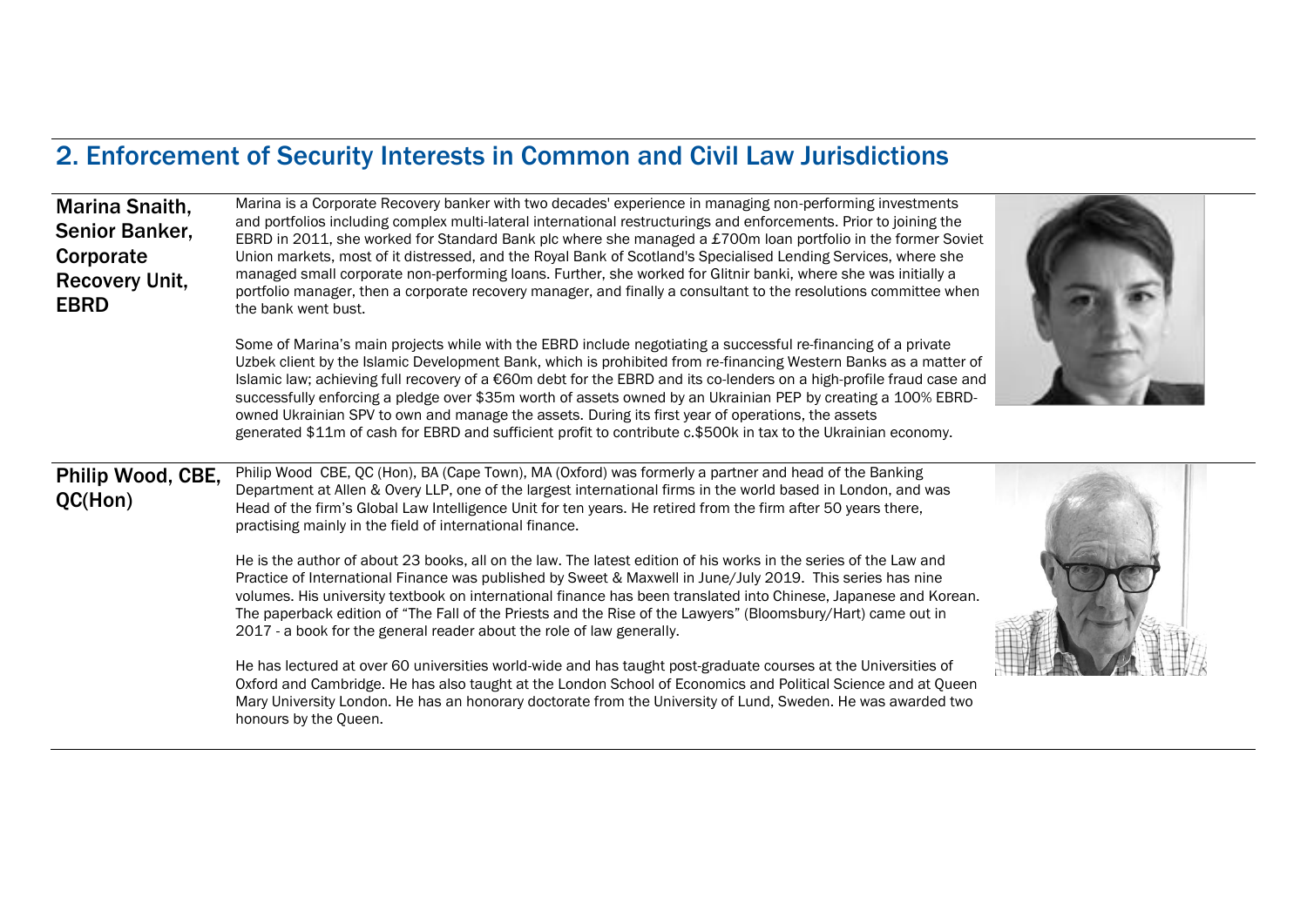## 2. Enforcement of Security Interests in Common and Civil Law Jurisdictions

| Marina Snaith,<br>Senior Banker,<br>Corporate<br><b>Recovery Unit,</b><br><b>EBRD</b> | Marina is a Corporate Recovery banker with two decades' experience in managing non-performing investments<br>and portfolios including complex multi-lateral international restructurings and enforcements. Prior to joining the<br>EBRD in 2011, she worked for Standard Bank plc where she managed a £700m loan portfolio in the former Soviet<br>Union markets, most of it distressed, and the Royal Bank of Scotland's Specialised Lending Services, where she<br>managed small corporate non-performing loans. Further, she worked for Glitnir banki, where she was initially a<br>portfolio manager, then a corporate recovery manager, and finally a consultant to the resolutions committee when<br>the bank went bust.<br>Some of Marina's main projects while with the EBRD include negotiating a successful re-financing of a private<br>Uzbek client by the Islamic Development Bank, which is prohibited from re-financing Western Banks as a matter of<br>Islamic law; achieving full recovery of a €60m debt for the EBRD and its co-lenders on a high-profile fraud case and<br>successfully enforcing a pledge over \$35m worth of assets owned by an Ukrainian PEP by creating a 100% EBRD-<br>owned Ukrainian SPV to own and manage the assets. During its first year of operations, the assets<br>generated \$11m of cash for EBRD and sufficient profit to contribute c.\$500k in tax to the Ukrainian economy. |  |
|---------------------------------------------------------------------------------------|-------------------------------------------------------------------------------------------------------------------------------------------------------------------------------------------------------------------------------------------------------------------------------------------------------------------------------------------------------------------------------------------------------------------------------------------------------------------------------------------------------------------------------------------------------------------------------------------------------------------------------------------------------------------------------------------------------------------------------------------------------------------------------------------------------------------------------------------------------------------------------------------------------------------------------------------------------------------------------------------------------------------------------------------------------------------------------------------------------------------------------------------------------------------------------------------------------------------------------------------------------------------------------------------------------------------------------------------------------------------------------------------------------------------------------------|--|
| Philip Wood, CBE,<br>QC(Hon)                                                          | Philip Wood CBE, QC (Hon), BA (Cape Town), MA (Oxford) was formerly a partner and head of the Banking<br>Department at Allen & Overy LLP, one of the largest international firms in the world based in London, and was<br>Head of the firm's Global Law Intelligence Unit for ten years. He retired from the firm after 50 years there,<br>practising mainly in the field of international finance.                                                                                                                                                                                                                                                                                                                                                                                                                                                                                                                                                                                                                                                                                                                                                                                                                                                                                                                                                                                                                                 |  |
|                                                                                       | He is the author of about 23 books, all on the law. The latest edition of his works in the series of the Law and<br>Practice of International Finance was published by Sweet & Maxwell in June/July 2019. This series has nine<br>volumes. His university textbook on international finance has been translated into Chinese, Japanese and Korean.<br>The paperback edition of "The Fall of the Priests and the Rise of the Lawyers" (Bloomsbury/Hart) came out in<br>2017 - a book for the general reader about the role of law generally.                                                                                                                                                                                                                                                                                                                                                                                                                                                                                                                                                                                                                                                                                                                                                                                                                                                                                         |  |
|                                                                                       | He has lectured at over 60 universities world-wide and has taught post-graduate courses at the Universities of<br>Oxford and Cambridge. He has also taught at the London School of Economics and Political Science and at Queen<br>Mary University London. He has an honorary doctorate from the University of Lund, Sweden. He was awarded two<br>honours by the Queen.                                                                                                                                                                                                                                                                                                                                                                                                                                                                                                                                                                                                                                                                                                                                                                                                                                                                                                                                                                                                                                                            |  |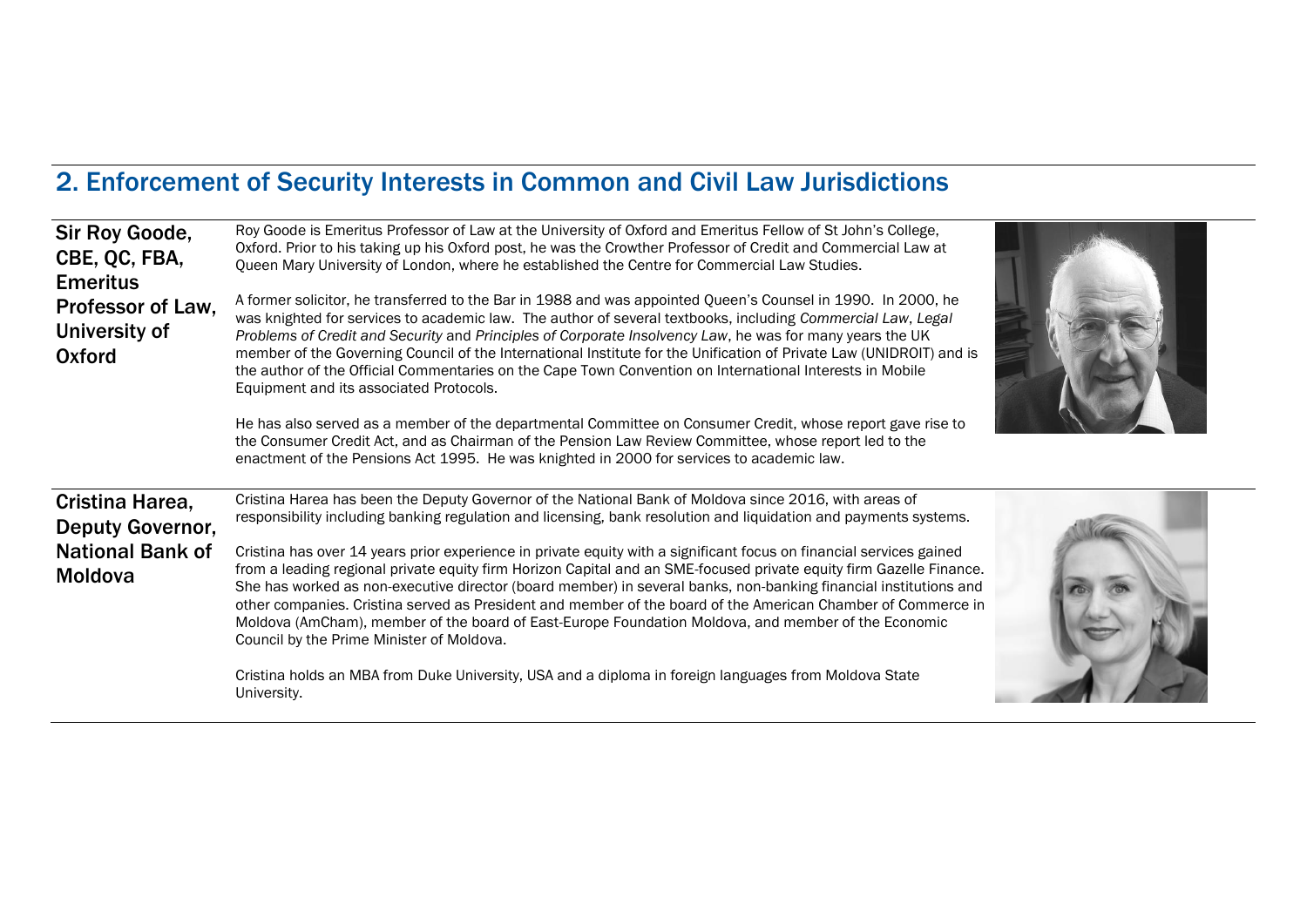## 2. Enforcement of Security Interests in Common and Civil Law Jurisdictions

| Sir Roy Goode,<br>CBE, QC, FBA,<br><b>Emeritus</b><br>Professor of Law,<br>University of<br>Oxford | Roy Goode is Emeritus Professor of Law at the University of Oxford and Emeritus Fellow of St John's College,<br>Oxford. Prior to his taking up his Oxford post, he was the Crowther Professor of Credit and Commercial Law at<br>Queen Mary University of London, where he established the Centre for Commercial Law Studies.<br>A former solicitor, he transferred to the Bar in 1988 and was appointed Queen's Counsel in 1990. In 2000, he<br>was knighted for services to academic law. The author of several textbooks, including Commercial Law, Legal<br>Problems of Credit and Security and Principles of Corporate Insolvency Law, he was for many years the UK<br>member of the Governing Council of the International Institute for the Unification of Private Law (UNIDROIT) and is<br>the author of the Official Commentaries on the Cape Town Convention on International Interests in Mobile<br>Equipment and its associated Protocols.<br>He has also served as a member of the departmental Committee on Consumer Credit, whose report gave rise to<br>the Consumer Credit Act, and as Chairman of the Pension Law Review Committee, whose report led to the<br>enactment of the Pensions Act 1995. He was knighted in 2000 for services to academic law. |  |
|----------------------------------------------------------------------------------------------------|----------------------------------------------------------------------------------------------------------------------------------------------------------------------------------------------------------------------------------------------------------------------------------------------------------------------------------------------------------------------------------------------------------------------------------------------------------------------------------------------------------------------------------------------------------------------------------------------------------------------------------------------------------------------------------------------------------------------------------------------------------------------------------------------------------------------------------------------------------------------------------------------------------------------------------------------------------------------------------------------------------------------------------------------------------------------------------------------------------------------------------------------------------------------------------------------------------------------------------------------------------------------------|--|
| Cristina Harea,<br><b>Deputy Governor,</b><br><b>National Bank of</b><br><b>Moldova</b>            | Cristina Harea has been the Deputy Governor of the National Bank of Moldova since 2016, with areas of<br>responsibility including banking regulation and licensing, bank resolution and liquidation and payments systems.<br>Cristina has over 14 years prior experience in private equity with a significant focus on financial services gained<br>from a leading regional private equity firm Horizon Capital and an SME-focused private equity firm Gazelle Finance.<br>She has worked as non-executive director (board member) in several banks, non-banking financial institutions and<br>other companies. Cristina served as President and member of the board of the American Chamber of Commerce in<br>Moldova (AmCham), member of the board of East-Europe Foundation Moldova, and member of the Economic<br>Council by the Prime Minister of Moldova.                                                                                                                                                                                                                                                                                                                                                                                                            |  |
|                                                                                                    | Cristina holds an MBA from Duke University, USA and a diploma in foreign languages from Moldova State<br>University.                                                                                                                                                                                                                                                                                                                                                                                                                                                                                                                                                                                                                                                                                                                                                                                                                                                                                                                                                                                                                                                                                                                                                       |  |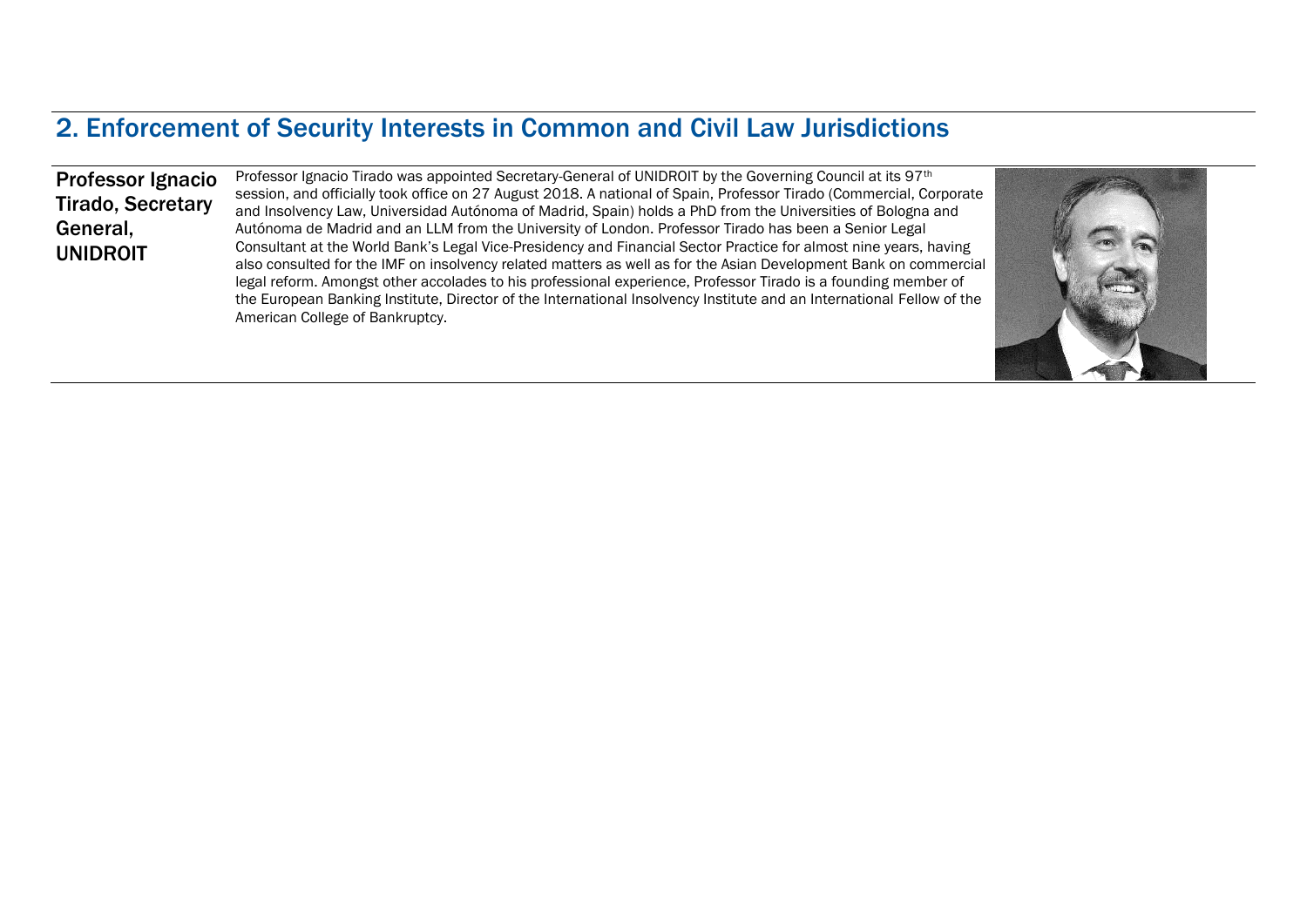#### 2. Enforcement of Security Interests in Common and Civil Law Jurisdictions

Professor Ignacio Tirado, Secretary General, UNIDROIT

Professor Ignacio Tirado was appointed Secretary-General of UNIDROIT by the Governing Council at its 97<sup>th</sup> session, and officially took office on 27 August 2018. A national of Spain, Professor Tirado (Commercial, Corporate and Insolvency Law, Universidad Autónoma of Madrid, Spain) holds a PhD from the Universities of Bologna and Autónoma de Madrid and an LLM from the University of London. Professor Tirado has been a Senior Legal Consultant at the World Bank's Legal Vice-Presidency and Financial Sector Practice for almost nine years, having also consulted for the IMF on insolvency related matters as well as for the Asian Development Bank on commercial legal reform. Amongst other accolades to his professional experience, Professor Tirado is a founding member of the European Banking Institute, Director of the International Insolvency Institute and an International Fellow of the American College of Bankruptcy.

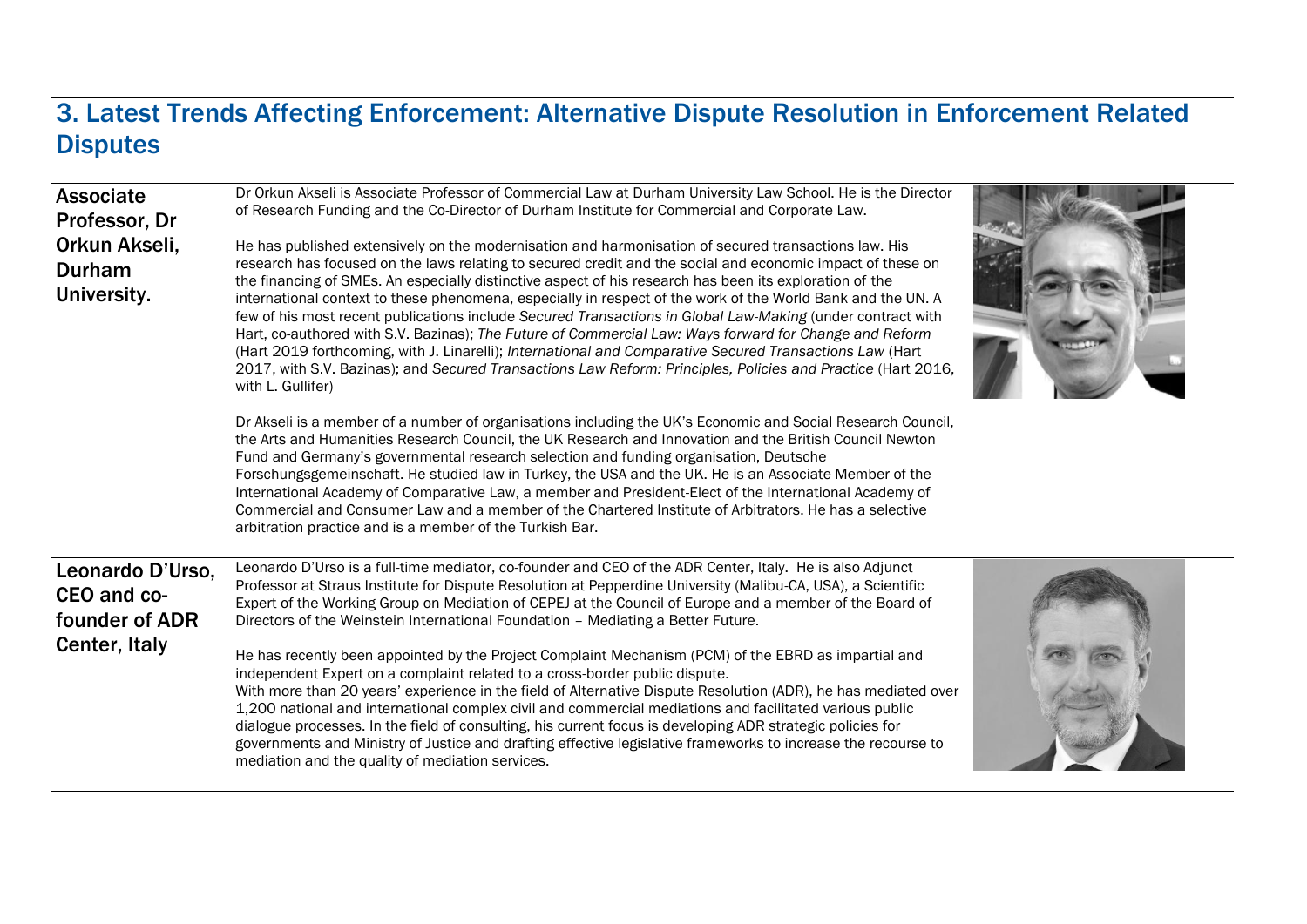#### 3. Latest Trends Affecting Enforcement: Alternative Dispute Resolution in Enforcement Related **Disputes**

| <b>Associate</b><br>Professor, Dr<br>Orkun Akseli,<br>Durham<br>University. | Dr Orkun Akseli is Associate Professor of Commercial Law at Durham University Law School. He is the Director<br>of Research Funding and the Co-Director of Durham Institute for Commercial and Corporate Law.<br>He has published extensively on the modernisation and harmonisation of secured transactions law. His<br>research has focused on the laws relating to secured credit and the social and economic impact of these on<br>the financing of SMEs. An especially distinctive aspect of his research has been its exploration of the<br>international context to these phenomena, especially in respect of the work of the World Bank and the UN. A<br>few of his most recent publications include Secured Transactions in Global Law-Making (under contract with<br>Hart, co-authored with S.V. Bazinas); The Future of Commercial Law: Ways forward for Change and Reform<br>(Hart 2019 forthcoming, with J. Linarelli); International and Comparative Secured Transactions Law (Hart<br>2017, with S.V. Bazinas); and Secured Transactions Law Reform: Principles, Policies and Practice (Hart 2016,<br>with L. Gullifer) |  |
|-----------------------------------------------------------------------------|----------------------------------------------------------------------------------------------------------------------------------------------------------------------------------------------------------------------------------------------------------------------------------------------------------------------------------------------------------------------------------------------------------------------------------------------------------------------------------------------------------------------------------------------------------------------------------------------------------------------------------------------------------------------------------------------------------------------------------------------------------------------------------------------------------------------------------------------------------------------------------------------------------------------------------------------------------------------------------------------------------------------------------------------------------------------------------------------------------------------------------------|--|
|                                                                             | Dr Akseli is a member of a number of organisations including the UK's Economic and Social Research Council,<br>the Arts and Humanities Research Council, the UK Research and Innovation and the British Council Newton<br>Fund and Germany's governmental research selection and funding organisation, Deutsche<br>Forschungsgemeinschaft. He studied law in Turkey, the USA and the UK. He is an Associate Member of the<br>International Academy of Comparative Law, a member and President-Elect of the International Academy of<br>Commercial and Consumer Law and a member of the Chartered Institute of Arbitrators. He has a selective<br>arbitration practice and is a member of the Turkish Bar.                                                                                                                                                                                                                                                                                                                                                                                                                              |  |
| Leonardo D'Urso.<br>CEO and co-<br>founder of ADR<br>Center, Italy          | Leonardo D'Urso is a full-time mediator, co-founder and CEO of the ADR Center, Italy. He is also Adjunct<br>Professor at Straus Institute for Dispute Resolution at Pepperdine University (Malibu-CA, USA), a Scientific<br>Expert of the Working Group on Mediation of CEPEJ at the Council of Europe and a member of the Board of<br>Directors of the Weinstein International Foundation - Mediating a Better Future.<br>He has recently been appointed by the Project Complaint Mechanism (PCM) of the EBRD as impartial and<br>independent Expert on a complaint related to a cross-border public dispute.<br>With more than 20 years' experience in the field of Alternative Dispute Resolution (ADR), he has mediated over<br>1,200 national and international complex civil and commercial mediations and facilitated various public<br>dialogue processes. In the field of consulting, his current focus is developing ADR strategic policies for<br>governments and Ministry of Justice and drafting effective legislative frameworks to increase the recourse to<br>mediation and the quality of mediation services.         |  |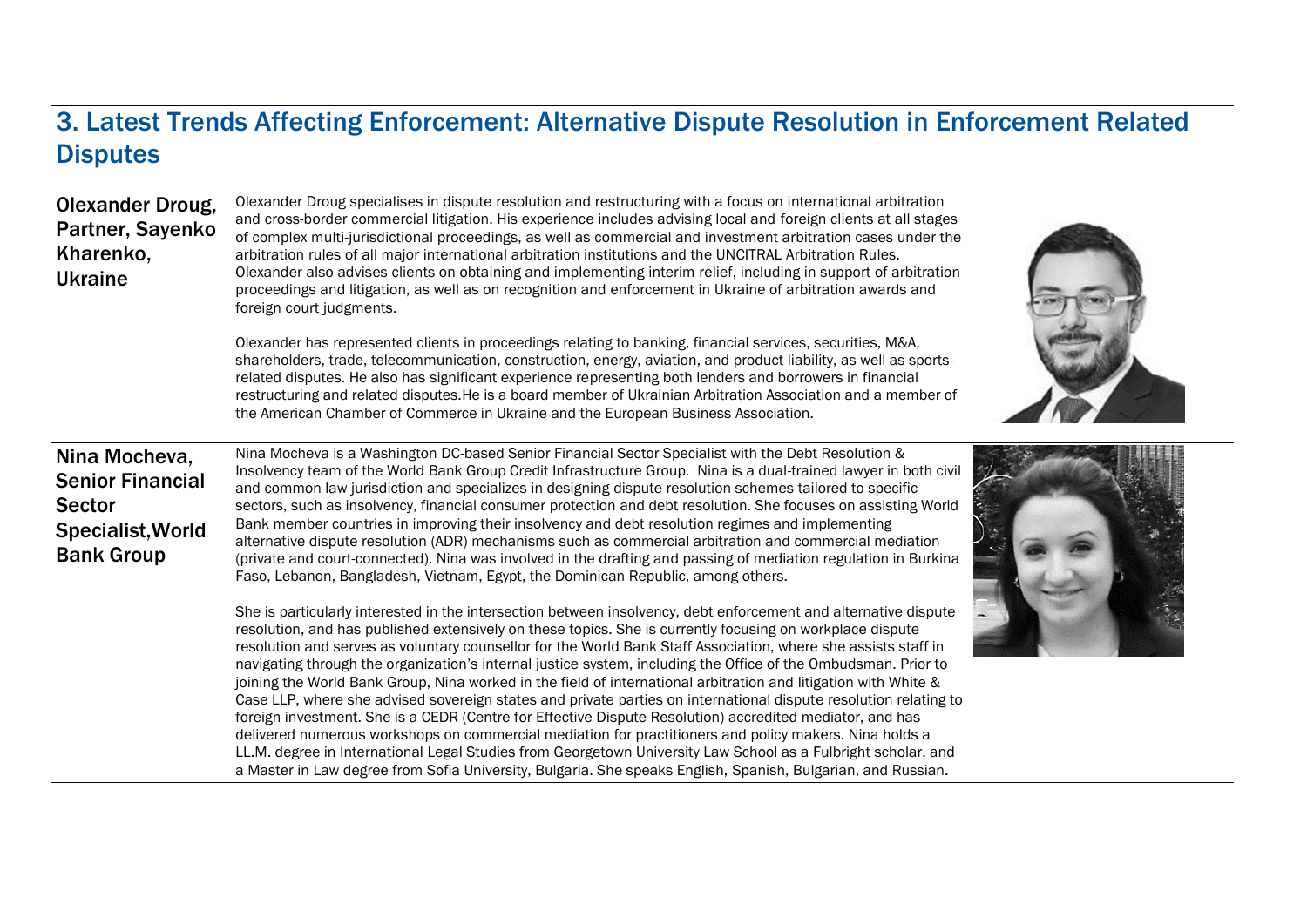### 3. Latest Trends Affecting Enforcement: Alternative Dispute Resolution in Enforcement Related **Disputes**

| <b>Olexander Droug,</b><br>Partner, Sayenko<br>Kharenko,<br><b>Ukraine</b>                          | Olexander Droug specialises in dispute resolution and restructuring with a focus on international arbitration<br>and cross-border commercial litigation. His experience includes advising local and foreign clients at all stages<br>of complex multi-jurisdictional proceedings, as well as commercial and investment arbitration cases under the<br>arbitration rules of all major international arbitration institutions and the UNCITRAL Arbitration Rules.<br>Olexander also advises clients on obtaining and implementing interim relief, including in support of arbitration<br>proceedings and litigation, as well as on recognition and enforcement in Ukraine of arbitration awards and<br>foreign court judgments.                                                                                                                                                                                                                                                                                                                                                                                                                                  |  |
|-----------------------------------------------------------------------------------------------------|----------------------------------------------------------------------------------------------------------------------------------------------------------------------------------------------------------------------------------------------------------------------------------------------------------------------------------------------------------------------------------------------------------------------------------------------------------------------------------------------------------------------------------------------------------------------------------------------------------------------------------------------------------------------------------------------------------------------------------------------------------------------------------------------------------------------------------------------------------------------------------------------------------------------------------------------------------------------------------------------------------------------------------------------------------------------------------------------------------------------------------------------------------------|--|
|                                                                                                     | Olexander has represented clients in proceedings relating to banking, financial services, securities, M&A,<br>shareholders, trade, telecommunication, construction, energy, aviation, and product liability, as well as sports-<br>related disputes. He also has significant experience representing both lenders and borrowers in financial<br>restructuring and related disputes. He is a board member of Ukrainian Arbitration Association and a member of<br>the American Chamber of Commerce in Ukraine and the European Business Association.                                                                                                                                                                                                                                                                                                                                                                                                                                                                                                                                                                                                            |  |
| Nina Mocheva,<br><b>Senior Financial</b><br><b>Sector</b><br>Specialist, World<br><b>Bank Group</b> | Nina Mocheva is a Washington DC-based Senior Financial Sector Specialist with the Debt Resolution &<br>Insolvency team of the World Bank Group Credit Infrastructure Group. Nina is a dual-trained lawyer in both civil<br>and common law jurisdiction and specializes in designing dispute resolution schemes tailored to specific<br>sectors, such as insolvency, financial consumer protection and debt resolution. She focuses on assisting World<br>Bank member countries in improving their insolvency and debt resolution regimes and implementing<br>alternative dispute resolution (ADR) mechanisms such as commercial arbitration and commercial mediation<br>(private and court-connected). Nina was involved in the drafting and passing of mediation regulation in Burkina<br>Faso, Lebanon, Bangladesh, Vietnam, Egypt, the Dominican Republic, among others.                                                                                                                                                                                                                                                                                    |  |
|                                                                                                     | She is particularly interested in the intersection between insolvency, debt enforcement and alternative dispute<br>resolution, and has published extensively on these topics. She is currently focusing on workplace dispute<br>resolution and serves as voluntary counsellor for the World Bank Staff Association, where she assists staff in<br>navigating through the organization's internal justice system, including the Office of the Ombudsman. Prior to<br>joining the World Bank Group, Nina worked in the field of international arbitration and litigation with White &<br>Case LLP, where she advised sovereign states and private parties on international dispute resolution relating to<br>foreign investment. She is a CEDR (Centre for Effective Dispute Resolution) accredited mediator, and has<br>delivered numerous workshops on commercial mediation for practitioners and policy makers. Nina holds a<br>LL.M. degree in International Legal Studies from Georgetown University Law School as a Fulbright scholar, and<br>a Master in Law degree from Sofia University, Bulgaria. She speaks English, Spanish, Bulgarian, and Russian. |  |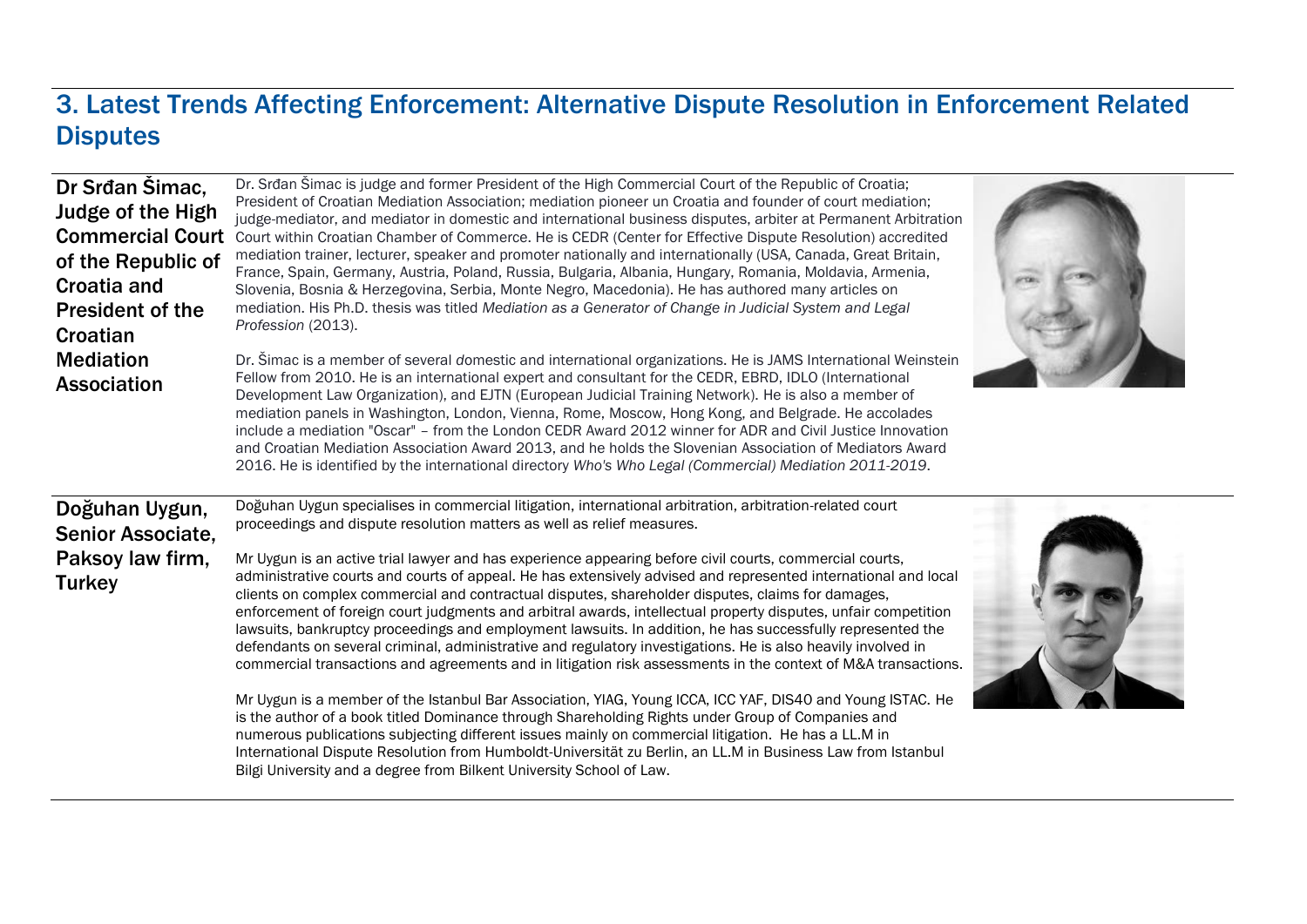#### 3. Latest Trends Affecting Enforcement: Alternative Dispute Resolution in Enforcement Related **Disputes**

| Dr Srđan Simac,<br>Judge of the High<br><b>Commercial Court</b><br>of the Republic of<br>Croatia and<br><b>President of the</b><br>Croatian<br><b>Mediation</b><br><b>Association</b> | Dr. Srđan Šimac is judge and former President of the High Commercial Court of the Republic of Croatia;<br>President of Croatian Mediation Association; mediation pioneer un Croatia and founder of court mediation;<br>judge-mediator, and mediator in domestic and international business disputes, arbiter at Permanent Arbitration<br>Court within Croatian Chamber of Commerce. He is CEDR (Center for Effective Dispute Resolution) accredited<br>mediation trainer, lecturer, speaker and promoter nationally and internationally (USA, Canada, Great Britain,<br>France, Spain, Germany, Austria, Poland, Russia, Bulgaria, Albania, Hungary, Romania, Moldavia, Armenia,<br>Slovenia, Bosnia & Herzegovina, Serbia, Monte Negro, Macedonia). He has authored many articles on<br>mediation. His Ph.D. thesis was titled Mediation as a Generator of Change in Judicial System and Legal<br>Profession (2013).<br>Dr. Simac is a member of several domestic and international organizations. He is JAMS International Weinstein<br>Fellow from 2010. He is an international expert and consultant for the CEDR, EBRD, IDLO (International<br>Development Law Organization), and EJTN (European Judicial Training Network). He is also a member of<br>mediation panels in Washington, London, Vienna, Rome, Moscow, Hong Kong, and Belgrade. He accolades<br>include a mediation "Oscar" - from the London CEDR Award 2012 winner for ADR and Civil Justice Innovation<br>and Croatian Mediation Association Award 2013, and he holds the Slovenian Association of Mediators Award<br>2016. He is identified by the international directory Who's Who Legal (Commercial) Mediation 2011-2019. |  |
|---------------------------------------------------------------------------------------------------------------------------------------------------------------------------------------|-----------------------------------------------------------------------------------------------------------------------------------------------------------------------------------------------------------------------------------------------------------------------------------------------------------------------------------------------------------------------------------------------------------------------------------------------------------------------------------------------------------------------------------------------------------------------------------------------------------------------------------------------------------------------------------------------------------------------------------------------------------------------------------------------------------------------------------------------------------------------------------------------------------------------------------------------------------------------------------------------------------------------------------------------------------------------------------------------------------------------------------------------------------------------------------------------------------------------------------------------------------------------------------------------------------------------------------------------------------------------------------------------------------------------------------------------------------------------------------------------------------------------------------------------------------------------------------------------------------------------------------------------------------------------------------------------------|--|
| Doğuhan Uygun,<br><b>Senior Associate,</b><br>Paksoy law firm,<br><b>Turkey</b>                                                                                                       | Doğuhan Uygun specialises in commercial litigation, international arbitration, arbitration-related court<br>proceedings and dispute resolution matters as well as relief measures.<br>Mr Uygun is an active trial lawyer and has experience appearing before civil courts, commercial courts,<br>administrative courts and courts of appeal. He has extensively advised and represented international and local<br>clients on complex commercial and contractual disputes, shareholder disputes, claims for damages,<br>enforcement of foreign court judgments and arbitral awards, intellectual property disputes, unfair competition<br>lawsuits, bankruptcy proceedings and employment lawsuits. In addition, he has successfully represented the<br>defendants on several criminal, administrative and regulatory investigations. He is also heavily involved in<br>commercial transactions and agreements and in litigation risk assessments in the context of M&A transactions.<br>Mr Uygun is a member of the Istanbul Bar Association, YIAG, Young ICCA, ICC YAF, DIS40 and Young ISTAC. He<br>is the author of a book titled Dominance through Shareholding Rights under Group of Companies and<br>numerous publications subjecting different issues mainly on commercial litigation. He has a LL.M in<br>International Dispute Resolution from Humboldt-Universität zu Berlin, an LL.M in Business Law from Istanbul<br>Bilgi University and a degree from Bilkent University School of Law.                                                                                                                                                                                              |  |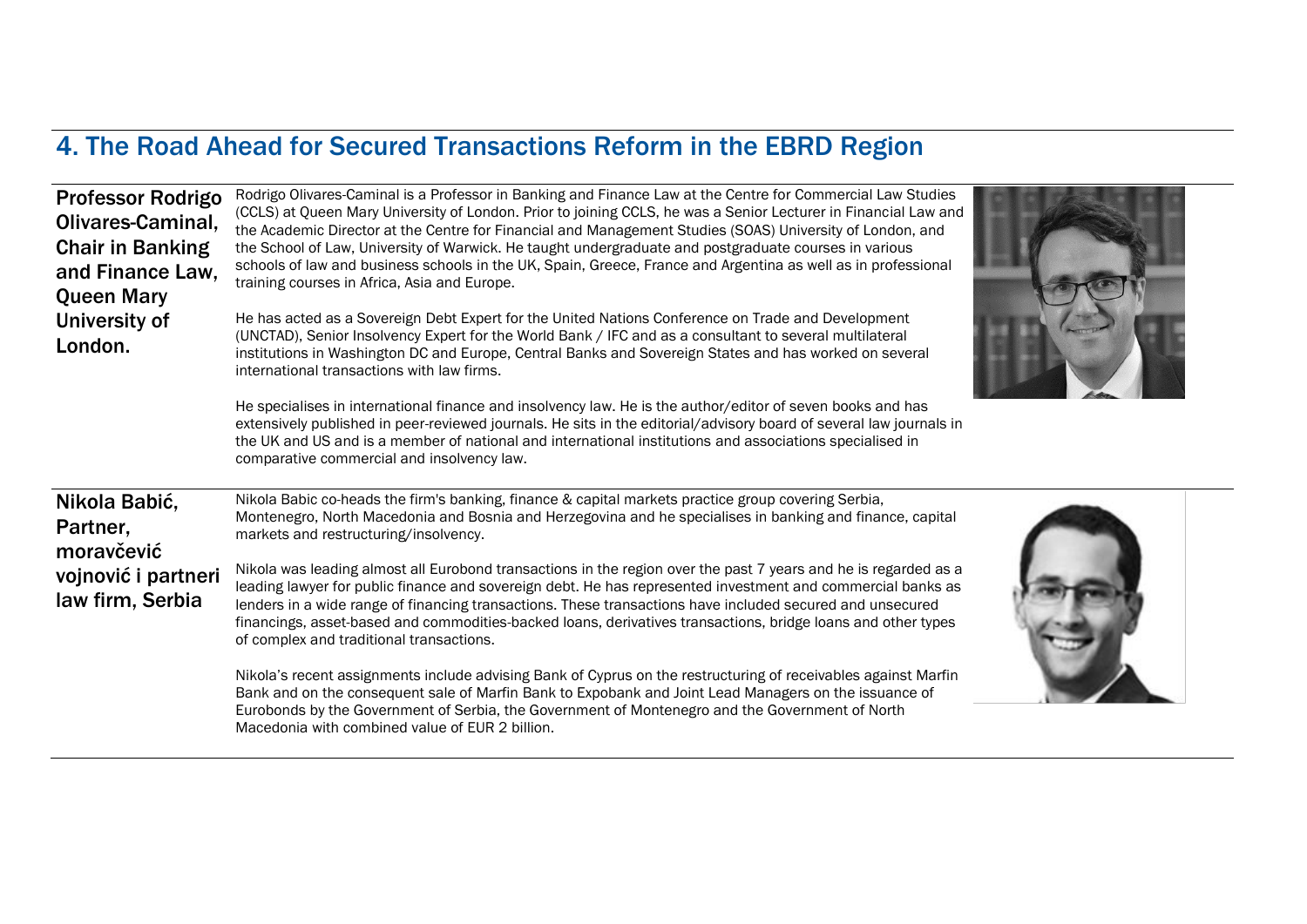# 4. The Road Ahead for Secured Transactions Reform in the EBRD Region

| <b>Professor Rodrigo</b><br>Olivares-Caminal,<br><b>Chair in Banking</b><br>and Finance Law,<br><b>Queen Mary</b><br>University of<br>London. | Rodrigo Olivares-Caminal is a Professor in Banking and Finance Law at the Centre for Commercial Law Studies<br>(CCLS) at Queen Mary University of London. Prior to joining CCLS, he was a Senior Lecturer in Financial Law and<br>the Academic Director at the Centre for Financial and Management Studies (SOAS) University of London, and<br>the School of Law, University of Warwick. He taught undergraduate and postgraduate courses in various<br>schools of law and business schools in the UK, Spain, Greece, France and Argentina as well as in professional<br>training courses in Africa, Asia and Europe.<br>He has acted as a Sovereign Debt Expert for the United Nations Conference on Trade and Development<br>(UNCTAD), Senior Insolvency Expert for the World Bank / IFC and as a consultant to several multilateral<br>institutions in Washington DC and Europe, Central Banks and Sovereign States and has worked on several<br>international transactions with law firms.<br>He specialises in international finance and insolvency law. He is the author/editor of seven books and has<br>extensively published in peer-reviewed journals. He sits in the editorial/advisory board of several law journals in<br>the UK and US and is a member of national and international institutions and associations specialised in<br>comparative commercial and insolvency law. |  |
|-----------------------------------------------------------------------------------------------------------------------------------------------|-----------------------------------------------------------------------------------------------------------------------------------------------------------------------------------------------------------------------------------------------------------------------------------------------------------------------------------------------------------------------------------------------------------------------------------------------------------------------------------------------------------------------------------------------------------------------------------------------------------------------------------------------------------------------------------------------------------------------------------------------------------------------------------------------------------------------------------------------------------------------------------------------------------------------------------------------------------------------------------------------------------------------------------------------------------------------------------------------------------------------------------------------------------------------------------------------------------------------------------------------------------------------------------------------------------------------------------------------------------------------------------------------|--|
| Nikola Babić,<br>Partner,<br>moravčević<br>vojnović i partneri<br>law firm, Serbia                                                            | Nikola Babic co-heads the firm's banking, finance & capital markets practice group covering Serbia,<br>Montenegro, North Macedonia and Bosnia and Herzegovina and he specialises in banking and finance, capital<br>markets and restructuring/insolvency.<br>Nikola was leading almost all Eurobond transactions in the region over the past 7 years and he is regarded as a<br>leading lawyer for public finance and sovereign debt. He has represented investment and commercial banks as<br>lenders in a wide range of financing transactions. These transactions have included secured and unsecured<br>financings, asset-based and commodities-backed loans, derivatives transactions, bridge loans and other types<br>of complex and traditional transactions.<br>Nikola's recent assignments include advising Bank of Cyprus on the restructuring of receivables against Marfin<br>Bank and on the consequent sale of Marfin Bank to Expobank and Joint Lead Managers on the issuance of<br>Eurobonds by the Government of Serbia, the Government of Montenegro and the Government of North<br>Macedonia with combined value of FUR 2 billion                                                                                                                                                                                                                                          |  |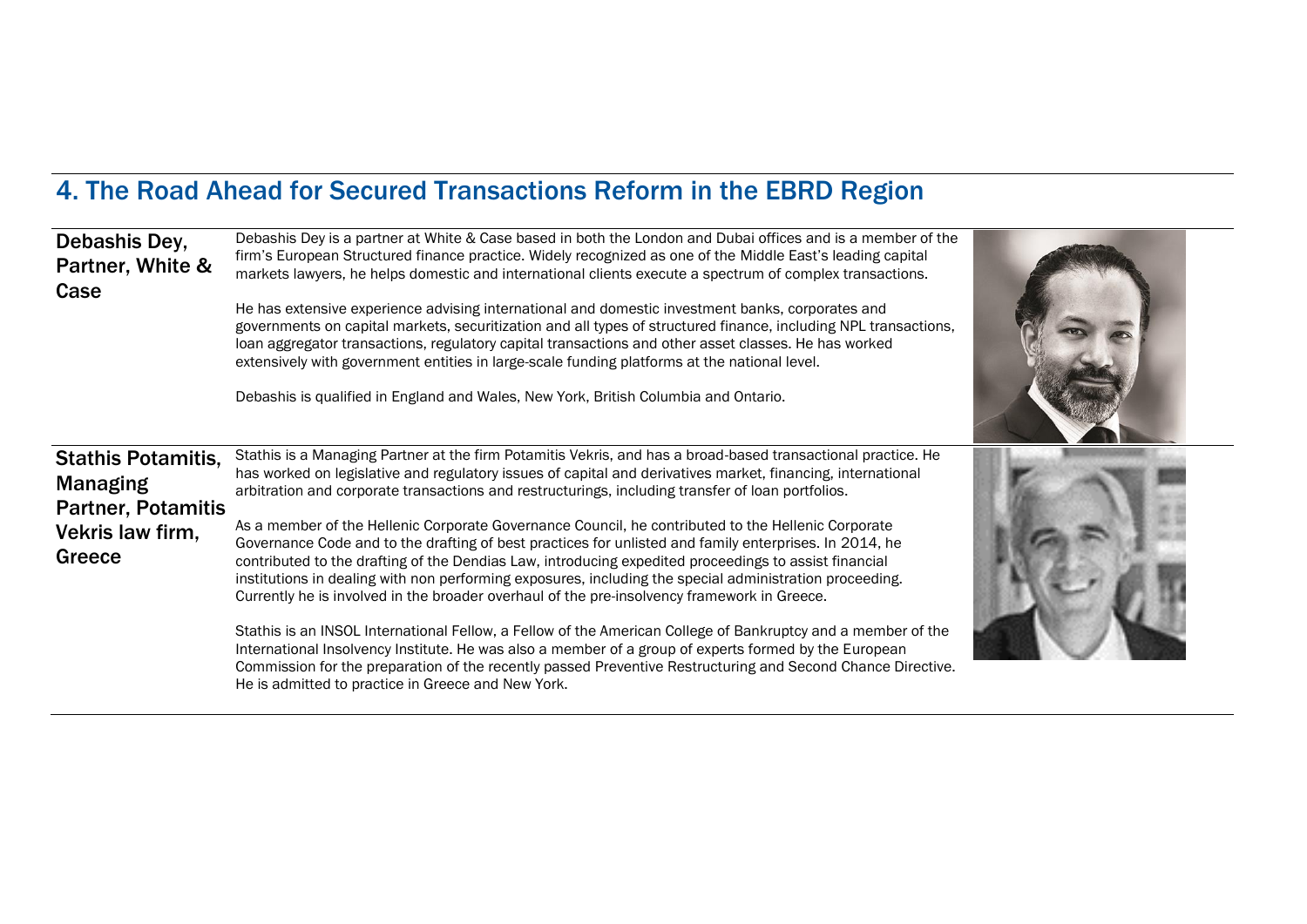## 4. The Road Ahead for Secured Transactions Reform in the EBRD Region

| Debashis Dey,<br>Partner, White &<br>Case                                                               | Debashis Dey is a partner at White & Case based in both the London and Dubai offices and is a member of the<br>firm's European Structured finance practice. Widely recognized as one of the Middle East's leading capital<br>markets lawyers, he helps domestic and international clients execute a spectrum of complex transactions.<br>He has extensive experience advising international and domestic investment banks, corporates and<br>governments on capital markets, securitization and all types of structured finance, including NPL transactions,<br>loan aggregator transactions, regulatory capital transactions and other asset classes. He has worked<br>extensively with government entities in large-scale funding platforms at the national level.<br>Debashis is qualified in England and Wales, New York, British Columbia and Ontario.                                                                                                                                                                                                                                  |  |
|---------------------------------------------------------------------------------------------------------|----------------------------------------------------------------------------------------------------------------------------------------------------------------------------------------------------------------------------------------------------------------------------------------------------------------------------------------------------------------------------------------------------------------------------------------------------------------------------------------------------------------------------------------------------------------------------------------------------------------------------------------------------------------------------------------------------------------------------------------------------------------------------------------------------------------------------------------------------------------------------------------------------------------------------------------------------------------------------------------------------------------------------------------------------------------------------------------------|--|
| <b>Stathis Potamitis,</b><br><b>Managing</b><br><b>Partner, Potamitis</b><br>Vekris law firm,<br>Greece | Stathis is a Managing Partner at the firm Potamitis Vekris, and has a broad-based transactional practice. He<br>has worked on legislative and regulatory issues of capital and derivatives market, financing, international<br>arbitration and corporate transactions and restructurings, including transfer of loan portfolios.<br>As a member of the Hellenic Corporate Governance Council, he contributed to the Hellenic Corporate<br>Governance Code and to the drafting of best practices for unlisted and family enterprises. In 2014, he<br>contributed to the drafting of the Dendias Law, introducing expedited proceedings to assist financial<br>institutions in dealing with non performing exposures, including the special administration proceeding.<br>Currently he is involved in the broader overhaul of the pre-insolvency framework in Greece.<br>Stathis is an INSOL International Fellow, a Fellow of the American College of Bankruptcy and a member of the<br>International Insolvency Institute. He was also a member of a group of experts formed by the European |  |
|                                                                                                         | Commission for the preparation of the recently passed Preventive Restructuring and Second Chance Directive.<br>He is admitted to practice in Greece and New York.                                                                                                                                                                                                                                                                                                                                                                                                                                                                                                                                                                                                                                                                                                                                                                                                                                                                                                                            |  |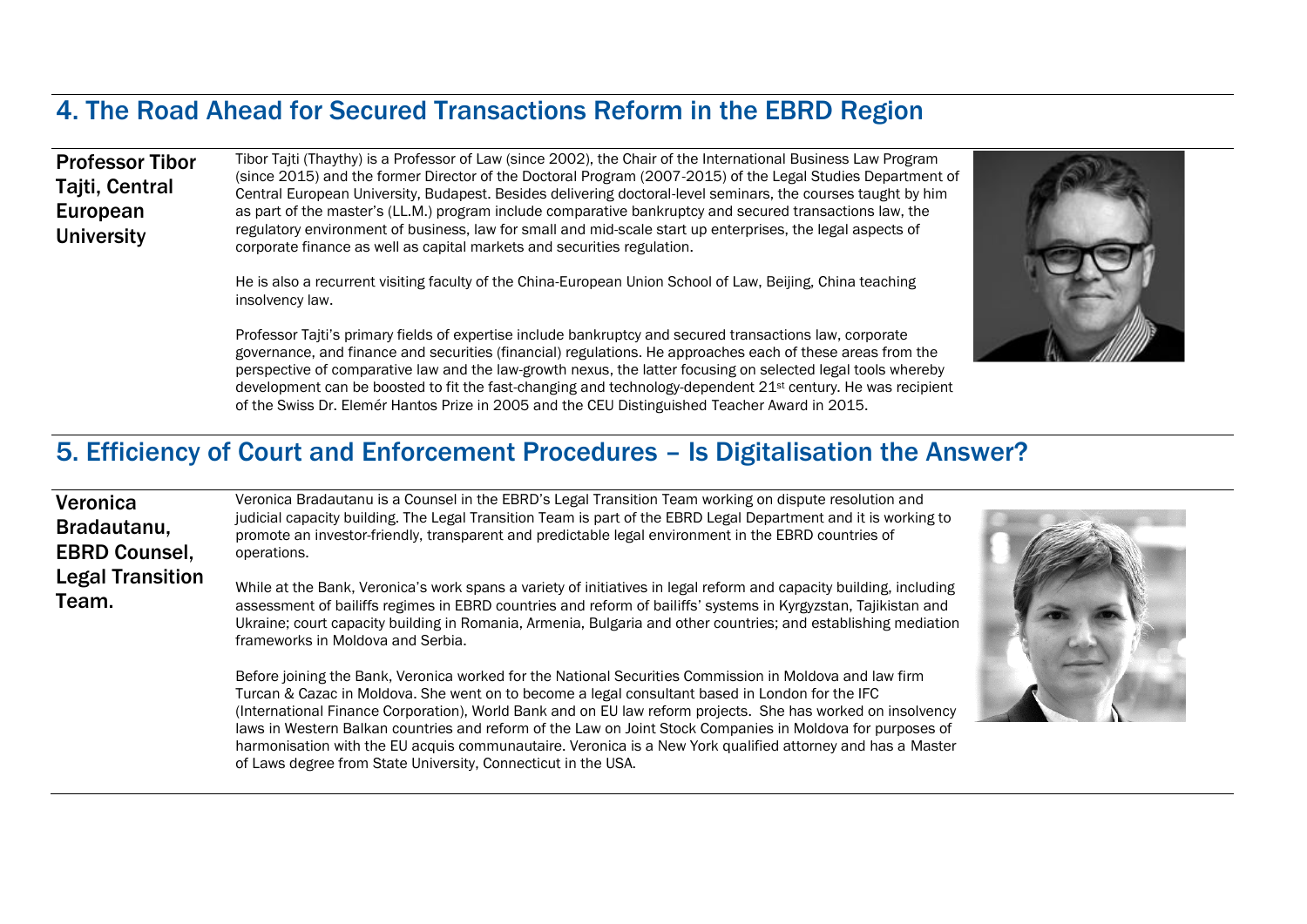#### 4. The Road Ahead for Secured Transactions Reform in the EBRD Region

#### Professor Tibor **Taiti, Central** European **University**

Tibor Tajti (Thaythy) is a Professor of Law (since 2002), the Chair of the International Business Law Program (since 2015) and the former Director of the Doctoral Program (2007-2015) of the Legal Studies Department of Central European University, Budapest. Besides delivering doctoral-level seminars, the courses taught by him as part of the master's (LL.M.) program include comparative bankruptcy and secured transactions law, the regulatory environment of business, law for small and mid-scale start up enterprises, the legal aspects of corporate finance as well as capital markets and securities regulation.

He is also a recurrent visiting faculty of the China-European Union School of Law, Beijing, China teaching insolvency law.

Professor Tajti's primary fields of expertise include bankruptcy and secured transactions law, corporate governance, and finance and securities (financial) regulations. He approaches each of these areas from the perspective of comparative law and the law-growth nexus, the latter focusing on selected legal tools whereby development can be boosted to fit the fast-changing and technology-dependent 21<sup>st</sup> century. He was recipient of the Swiss Dr. Elemér Hantos Prize in 2005 and the CEU Distinguished Teacher Award in 2015.

#### 5. Efficiency of Court and Enforcement Procedures – Is Digitalisation the Answer?

| Veronica<br>Bradautanu,                         | Veronica Bradautanu is a Counsel in the EBRD's Legal Transition Team working on dispute resolution and<br>judicial capacity building. The Legal Transition Team is part of the EBRD Legal Department and it is working to<br>promote an investor-friendly, transparent and predictable legal environment in the EBRD countries of                                                                                                                                                                                                                     |  |
|-------------------------------------------------|-------------------------------------------------------------------------------------------------------------------------------------------------------------------------------------------------------------------------------------------------------------------------------------------------------------------------------------------------------------------------------------------------------------------------------------------------------------------------------------------------------------------------------------------------------|--|
| <b>EBRD Counsel,</b><br><b>Legal Transition</b> | operations.                                                                                                                                                                                                                                                                                                                                                                                                                                                                                                                                           |  |
| Team.                                           | While at the Bank, Veronica's work spans a variety of initiatives in legal reform and capacity building, including<br>assessment of bailiffs regimes in EBRD countries and reform of bailiffs' systems in Kyrgyzstan, Tajikistan and<br>Ukraine; court capacity building in Romania, Armenia, Bulgaria and other countries; and establishing mediation<br>frameworks in Moldova and Serbia.                                                                                                                                                           |  |
|                                                 | Before joining the Bank, Veronica worked for the National Securities Commission in Moldova and law firm<br>Turcan & Cazac in Moldova. She went on to become a legal consultant based in London for the IFC<br>(International Finance Corporation), World Bank and on EU law reform projects. She has worked on insolvency<br>laws in Western Balkan countries and reform of the Law on Joint Stock Companies in Moldova for purposes of<br>harmonisation with the EU acquis communautaire. Veronica is a New York qualified attorney and has a Master |  |

of Laws degree from State University, Connecticut in the USA.

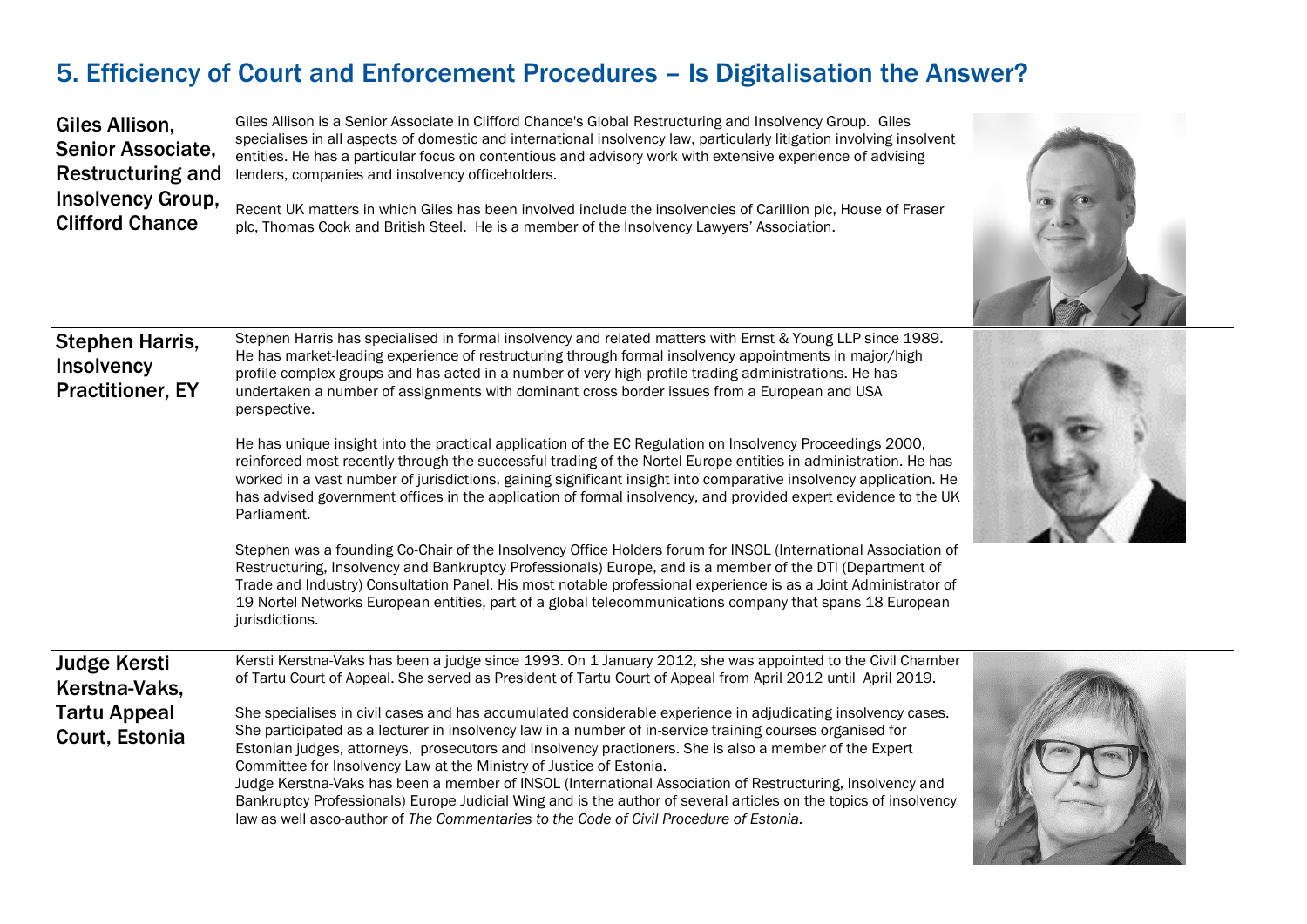#### 5. Efficiency of Court and Enforcement Procedures – Is Digitalisation the Answer?

Giles Allison is a Senior Associate in Clifford Chance's Global Restructuring and Insolvency Group. Giles

| Giles Allison,<br>Senior Associate,<br><b>Restructuring and</b>        | Giles Allison is a Senior Associate in Clifford Chance's Global Restructuring and Insolvency Group. Giles<br>specialises in all aspects of domestic and international insolvency law, particularly litigation involving insolvent<br>entities. He has a particular focus on contentious and advisory work with extensive experience of advising<br>lenders, companies and insolvency officeholders.                                                                                                                                                                                                                                         |  |
|------------------------------------------------------------------------|---------------------------------------------------------------------------------------------------------------------------------------------------------------------------------------------------------------------------------------------------------------------------------------------------------------------------------------------------------------------------------------------------------------------------------------------------------------------------------------------------------------------------------------------------------------------------------------------------------------------------------------------|--|
| <b>Insolvency Group,</b><br><b>Clifford Chance</b>                     | Recent UK matters in which Giles has been involved include the insolvencies of Carillion plc, House of Fraser<br>plc, Thomas Cook and British Steel. He is a member of the Insolvency Lawyers' Association.                                                                                                                                                                                                                                                                                                                                                                                                                                 |  |
| <b>Stephen Harris,</b><br><b>Insolvency</b><br><b>Practitioner, EY</b> | Stephen Harris has specialised in formal insolvency and related matters with Ernst & Young LLP since 1989.<br>He has market-leading experience of restructuring through formal insolvency appointments in major/high<br>profile complex groups and has acted in a number of very high-profile trading administrations. He has<br>undertaken a number of assignments with dominant cross border issues from a European and USA<br>perspective.                                                                                                                                                                                               |  |
|                                                                        | He has unique insight into the practical application of the EC Regulation on Insolvency Proceedings 2000,<br>reinforced most recently through the successful trading of the Nortel Europe entities in administration. He has<br>worked in a vast number of jurisdictions, gaining significant insight into comparative insolvency application. He<br>has advised government offices in the application of formal insolvency, and provided expert evidence to the UK<br>Parliament.                                                                                                                                                          |  |
|                                                                        | Stephen was a founding Co-Chair of the Insolvency Office Holders forum for INSOL (International Association of<br>Restructuring, Insolvency and Bankruptcy Professionals) Europe, and is a member of the DTI (Department of<br>Trade and Industry) Consultation Panel. His most notable professional experience is as a Joint Administrator of<br>19 Nortel Networks European entities, part of a global telecommunications company that spans 18 European<br>jurisdictions.                                                                                                                                                                |  |
| <b>Judge Kersti</b><br>Kerstna-Vaks,                                   | Kersti Kerstna-Vaks has been a judge since 1993. On 1 January 2012, she was appointed to the Civil Chamber<br>of Tartu Court of Appeal. She served as President of Tartu Court of Appeal from April 2012 until April 2019.                                                                                                                                                                                                                                                                                                                                                                                                                  |  |
| <b>Tartu Appeal</b><br>Court, Estonia                                  | She specialises in civil cases and has accumulated considerable experience in adjudicating insolvency cases.<br>She participated as a lecturer in insolvency law in a number of in-service training courses organised for<br>Estonian judges, attorneys, prosecutors and insolvency practioners. She is also a member of the Expert<br>Committee for Insolvency Law at the Ministry of Justice of Estonia.<br>Judge Kerstna-Vaks has been a member of INSOL (International Association of Restructuring, Insolvency and<br>Bankruptcy Professionals) Europe Judicial Wing and is the author of several articles on the topics of insolvency |  |

law as well asco-author of *The Commentaries to the Code of Civil Procedure of Estonia.*